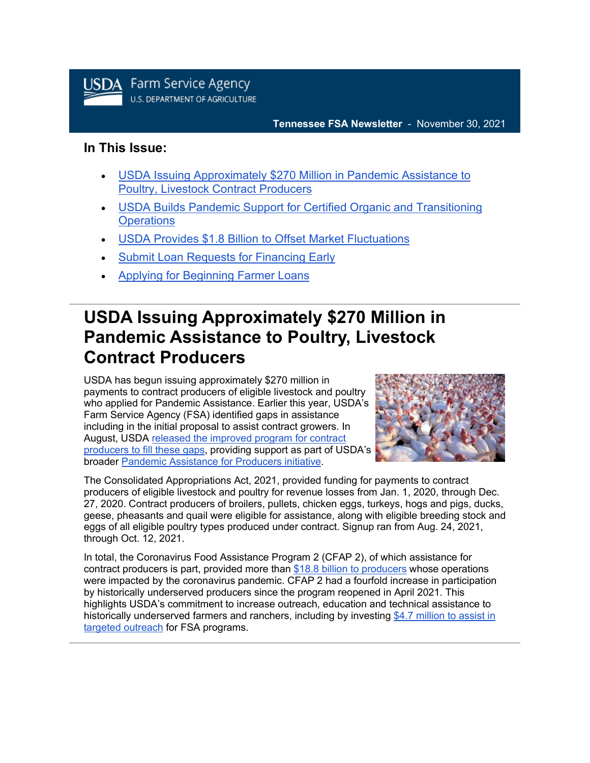

#### **Tennessee FSA Newsletter** - November 30, 2021

#### **In This Issue:**

- [USDA Issuing Approximately \\$270 Million in Pandemic Assistance to](#page-0-0)  [Poultry, Livestock Contract Producers](#page-0-0)
- [USDA Builds Pandemic Support for Certified Organic and Transitioning](#page-1-0)  **[Operations](#page-1-0)**
- [USDA Provides \\$1.8 Billion to Offset Market Fluctuations](#page-2-0)
- [Submit Loan Requests for Financing Early](#page-4-0)
- [Applying for Beginning Farmer Loans](#page-5-0)

## <span id="page-0-0"></span>**USDA Issuing Approximately \$270 Million in Pandemic Assistance to Poultry, Livestock Contract Producers**

USDA has begun issuing approximately \$270 million in payments to contract producers of eligible livestock and poultry who applied for Pandemic Assistance. Earlier this year, USDA's Farm Service Agency (FSA) identified gaps in assistance including in the initial proposal to assist contract growers. In August, USDA [released the improved program for contract](https://gcc02.safelinks.protection.outlook.com/?url=https%3A%2F%2Fwww.fsa.usda.gov%2Fnews-room%2Fnews-releases%2F2021%2Fusda-updates-pandemic-assistance-for-livestock-poultry-contract-producers-and-specialty-crop-growers%3Futm_medium%3Demail%26utm_source%3Dgovdelivery&data=04%7C01%7C%7C50412c8eedfa42dd08d508d9b440e65d%7Ced5b36e701ee4ebc867ee03cfa0d4697%7C0%7C0%7C637739013103822911%7CUnknown%7CTWFpbGZsb3d8eyJWIjoiMC4wLjAwMDAiLCJQIjoiV2luMzIiLCJBTiI6Ik1haWwiLCJXVCI6Mn0%3D%7C3000&sdata=MfTB4fDk9ZOJTUWIvoyTcAaAfKzLQxn9lZBejv7SbTU%3D&reserved=0)  [producers to fill these gaps,](https://gcc02.safelinks.protection.outlook.com/?url=https%3A%2F%2Fwww.fsa.usda.gov%2Fnews-room%2Fnews-releases%2F2021%2Fusda-updates-pandemic-assistance-for-livestock-poultry-contract-producers-and-specialty-crop-growers%3Futm_medium%3Demail%26utm_source%3Dgovdelivery&data=04%7C01%7C%7C50412c8eedfa42dd08d508d9b440e65d%7Ced5b36e701ee4ebc867ee03cfa0d4697%7C0%7C0%7C637739013103822911%7CUnknown%7CTWFpbGZsb3d8eyJWIjoiMC4wLjAwMDAiLCJQIjoiV2luMzIiLCJBTiI6Ik1haWwiLCJXVCI6Mn0%3D%7C3000&sdata=MfTB4fDk9ZOJTUWIvoyTcAaAfKzLQxn9lZBejv7SbTU%3D&reserved=0) providing support as part of USDA's broader [Pandemic Assistance for Producers initiative.](http://www.farmers.gov/pandemic-assistance?utm_medium=email&utm_source=govdelivery)



The Consolidated Appropriations Act, 2021, provided funding for payments to contract producers of eligible livestock and poultry for revenue losses from Jan. 1, 2020, through Dec. 27, 2020. Contract producers of broilers, pullets, chicken eggs, turkeys, hogs and pigs, ducks, geese, pheasants and quail were eligible for assistance, along with eligible breeding stock and eggs of all eligible poultry types produced under contract. Signup ran from Aug. 24, 2021, through Oct. 12, 2021.

In total, the Coronavirus Food Assistance Program 2 (CFAP 2), of which assistance for contract producers is part, provided more than [\\$18.8 billion to producers](https://www.farmers.gov/coronavirus/pandemic-assistance/cfap2/data?utm_medium=email&utm_source=govdelivery) whose operations were impacted by the coronavirus pandemic. CFAP 2 had a fourfold increase in participation by historically underserved producers since the program reopened in April 2021. This highlights USDA's commitment to increase outreach, education and technical assistance to historically underserved farmers and ranchers, including by investing \$4.7 million to assist in [targeted outreach](https://gcc02.safelinks.protection.outlook.com/?url=https%3A%2F%2Fwww.fsa.usda.gov%2Fnews-room%2Fnews-releases%2F2021%2Fusda-invests-4-7-million-to-provide-outreach-and-technical-assistance-to-historically-underserved-farmers-and-ranchers%3Futm_medium%3Demail%26utm_source%3Dgovdelivery&data=04%7C01%7C%7C50412c8eedfa42dd08d508d9b440e65d%7Ced5b36e701ee4ebc867ee03cfa0d4697%7C0%7C0%7C637739013103832871%7CUnknown%7CTWFpbGZsb3d8eyJWIjoiMC4wLjAwMDAiLCJQIjoiV2luMzIiLCJBTiI6Ik1haWwiLCJXVCI6Mn0%3D%7C3000&sdata=VesHbmAP0sHrS0aLWIyG89R%2BmyZrGmRX7eaVfHIh4Ws%3D&reserved=0) for FSA programs.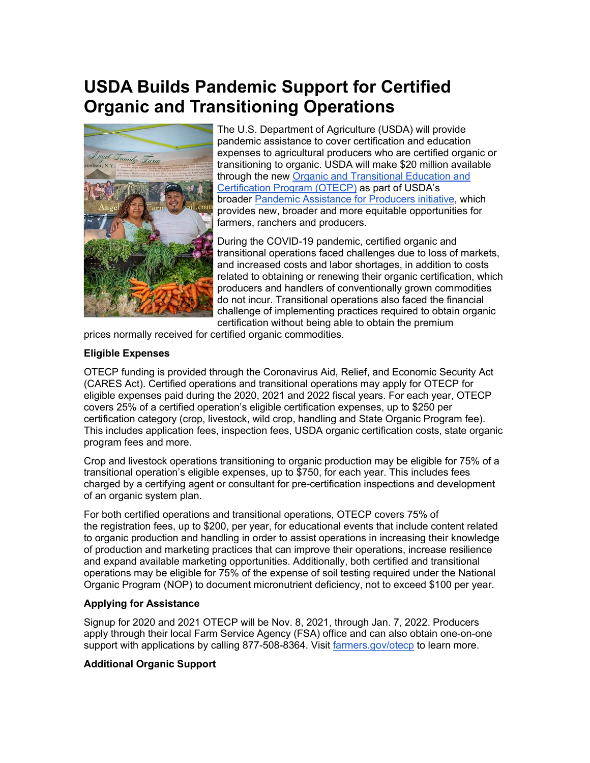# <span id="page-1-0"></span>**USDA Builds Pandemic Support for Certified Organic and Transitioning Operations**



The U.S. Department of Agriculture (USDA) will provide pandemic assistance to cover certification and education expenses to agricultural producers who are certified organic or transitioning to organic. USDA will make \$20 million available through the new [Organic and Transitional Education and](https://www.farmers.gov/pandemic-assistance/otecp?utm_medium=email&utm_source=govdelivery)  [Certification Program \(OTECP\)](https://www.farmers.gov/pandemic-assistance/otecp?utm_medium=email&utm_source=govdelivery) as part of USDA's broader [Pandemic Assistance for Producers](https://www.farmers.gov/coronavirus/pandemic-assistance?utm_medium=email&utm_source=govdelivery) initiative, which provides new, broader and more equitable opportunities for farmers, ranchers and producers.

During the COVID-19 pandemic, certified organic and transitional operations faced challenges due to loss of markets, and increased costs and labor shortages, in addition to costs related to obtaining or renewing their organic certification, which producers and handlers of conventionally grown commodities do not incur. Transitional operations also faced the financial challenge of implementing practices required to obtain organic certification without being able to obtain the premium

prices normally received for certified organic commodities.

#### **Eligible Expenses**

OTECP funding is provided through the Coronavirus Aid, Relief, and Economic Security Act (CARES Act). Certified operations and transitional operations may apply for OTECP for eligible expenses paid during the 2020, 2021 and 2022 fiscal years. For each year, OTECP covers 25% of a certified operation's eligible certification expenses, up to \$250 per certification category (crop, livestock, wild crop, handling and State Organic Program fee). This includes application fees, inspection fees, USDA organic certification costs, state organic program fees and more.

Crop and livestock operations transitioning to organic production may be eligible for 75% of a transitional operation's eligible expenses, up to \$750, for each year. This includes fees charged by a certifying agent or consultant for pre-certification inspections and development of an organic system plan.

For both certified operations and transitional operations, OTECP covers 75% of the registration fees, up to \$200, per year, for educational events that include content related to organic production and handling in order to assist operations in increasing their knowledge of production and marketing practices that can improve their operations, increase resilience and expand available marketing opportunities. Additionally, both certified and transitional operations may be eligible for 75% of the expense of soil testing required under the National Organic Program (NOP) to document micronutrient deficiency, not to exceed \$100 per year.

#### **Applying for Assistance**

Signup for 2020 and 2021 OTECP will be Nov. 8, 2021, through Jan. 7, 2022. Producers apply through their local Farm Service Agency (FSA) office and can also obtain one-on-one support with applications by calling 877-508-8364. Visit [farmers.gov/otecp](https://www.farmers.gov/pandemic-assistance/otecp?utm_medium=email&utm_source=govdelivery) to learn more.

#### **Additional Organic Support**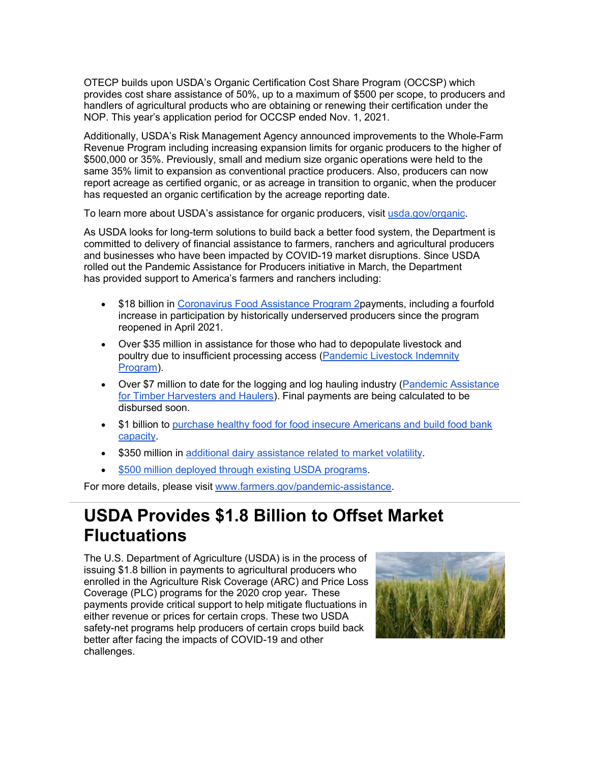OTECP builds upon USDA's Organic Certification Cost Share Program (OCCSP) which provides cost share assistance of 50%, up to a maximum of \$500 per scope, to producers and handlers of agricultural products who are obtaining or renewing their certification under the NOP. This year's application period for OCCSP ended Nov. 1, 2021.

Additionally, USDA's Risk Management Agency announced improvements to the Whole-Farm Revenue Program including increasing expansion limits for organic producers to the higher of \$500,000 or 35%. Previously, small and medium size organic operations were held to the same 35% limit to expansion as conventional practice producers. Also, producers can now report acreage as certified organic, or as acreage in transition to organic, when the producer has requested an organic certification by the acreage reporting date.

To learn more about USDA's assistance for organic producers, visit [usda.gov/organic.](http://www.usda.gov/organic?utm_medium=email&utm_source=govdelivery)

As USDA looks for long-term solutions to build back a better food system, the Department is committed to delivery of financial assistance to farmers, ranchers and agricultural producers and businesses who have been impacted by COVID-19 market disruptions. Since USDA rolled out the Pandemic Assistance for Producers initiative in March, the Department has provided support to America's farmers and ranchers including:

- \$18 billion in [Coronavirus Food Assistance Program 2p](https://www.usda.gov/media/press-releases/2021/03/24/after-identifying-gaps-previous-aid-usda-announces-pandemic?utm_medium=email&utm_source=govdelivery)ayments, including a fourfold increase in participation by historically underserved producers since the program reopened in April 2021.
- Over \$35 million in assistance for those who had to depopulate livestock and poultry due to insufficient processing access (Pandemic Livestock Indemnity [Program\)](https://www.usda.gov/media/press-releases/2021/07/13/usda-provide-pandemic-assistance-livestock-producers-animal-losses?utm_medium=email&utm_source=govdelivery).
- Over \$7 million to date for the logging and log hauling industry (Pandemic Assistance [for Timber Harvesters and Haulers\)](https://www.usda.gov/media/press-releases/2021/07/20/usda-announces-pandemic-assistance-timber-harvesters-and-haulers?utm_medium=email&utm_source=govdelivery). Final payments are being calculated to be disbursed soon.
- \$1 billion to [purchase healthy food for food insecure Americans and build food bank](https://www.usda.gov/media/press-releases/2021/06/04/usda-invest-1-billion-purchase-healthy-food-food-insecure-americans?utm_medium=email&utm_source=govdelivery)  [capacity.](https://www.usda.gov/media/press-releases/2021/06/04/usda-invest-1-billion-purchase-healthy-food-food-insecure-americans?utm_medium=email&utm_source=govdelivery)
- \$350 million in [additional dairy assistance related to market volatility.](https://www.usda.gov/media/press-releases/2021/08/19/usda-announces-improvements-dairy-safety-net-and-new-pandemic?utm_medium=email&utm_source=govdelivery)
- [\\$500 million deployed through existing USDA programs.](https://www.usda.gov/media/press-releases/2021/03/24/after-identifying-gaps-previous-aid-usda-announces-pandemic?utm_medium=email&utm_source=govdelivery)

For more details, please visit [www.farmers.gov/pandemic-assistance.](http://www.farmers.gov/pandemic-assistance?utm_medium=email&utm_source=govdelivery)

### <span id="page-2-0"></span>**USDA Provides \$1.8 Billion to Offset Market Fluctuations**

The U.S. Department of Agriculture (USDA) is in the process of issuing \$1.8 billion in payments to agricultural producers who enrolled in the Agriculture Risk Coverage (ARC) and Price Loss Coverage (PLC) programs for the 2020 crop year. These payments provide critical support to help mitigate fluctuations in either revenue or prices for certain crops. These two USDA safety-net programs help producers of certain crops build back better after facing the impacts of COVID-19 and other challenges.  

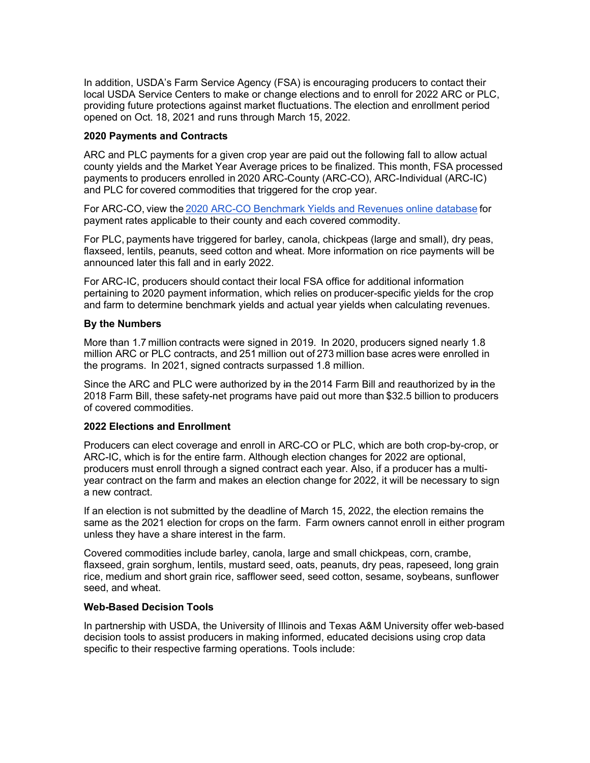In addition, USDA's Farm Service Agency (FSA) is encouraging producers to contact their local USDA Service Centers to make or change elections and to enroll for 2022 ARC or PLC, providing future protections against market fluctuations. The election and enrollment period opened on Oct. 18, 2021 and runs through March 15, 2022. 

#### **2020 Payments and Contracts**

ARC and PLC payments for a given crop year are paid out the following fall to allow actual county yields and the Market Year Average prices to be finalized. This month, FSA processed payments to producers enrolled in 2020 ARC-County (ARC-CO), ARC-Individual (ARC-IC) and PLC for covered commodities that triggered for the crop year.  

For ARC-CO, view the [2020 ARC-CO Benchmark Yields and Revenues online database](https://gcc02.safelinks.protection.outlook.com/?url=https%3A%2F%2Fwww.fsa.usda.gov%2Fprograms-and-services%2Farcplc_program%2Farcplc-program-data%2F%3Futm_medium%3Demail%26utm_source%3Dgovdelivery&data=04%7C01%7C%7C50412c8eedfa42dd08d508d9b440e65d%7Ced5b36e701ee4ebc867ee03cfa0d4697%7C0%7C0%7C637739013103842823%7CUnknown%7CTWFpbGZsb3d8eyJWIjoiMC4wLjAwMDAiLCJQIjoiV2luMzIiLCJBTiI6Ik1haWwiLCJXVCI6Mn0%3D%7C3000&sdata=%2FQg%2FdvTTOsh95DnjvDDAXFQw2B6IJ9litCmXybg7IK8%3D&reserved=0) for payment rates applicable to their county and each covered commodity.   

For PLC, payments have triggered for barley, canola, chickpeas (large and small), dry peas, flaxseed, lentils, peanuts, seed cotton and wheat. More information on rice payments will be announced later this fall and in early 2022.  

For ARC-IC, producers should contact their local FSA office for additional information pertaining to 2020 payment information, which relies on producer-specific yields for the crop and farm to determine benchmark yields and actual year yields when calculating revenues. 

#### **By the Numbers**

More than 1.7 million contracts were signed in 2019.  In 2020, producers signed nearly 1.8 million ARC or PLC contracts, and 251 million out of 273 million base acres were enrolled in the programs.  In 2021, signed contracts surpassed 1.8 million. 

Since the ARC and PLC were authorized by in the 2014 Farm Bill and reauthorized by in the 2018 Farm Bill, these safety-net programs have paid out more than \$32.5 billion to producers of covered commodities. 

#### **2022 Elections and Enrollment**

Producers can elect coverage and enroll in ARC-CO or PLC, which are both crop-by-crop, or ARC-IC, which is for the entire farm. Although election changes for 2022 are optional, producers must enroll through a signed contract each year. Also, if a producer has a multiyear contract on the farm and makes an election change for 2022, it will be necessary to sign a new contract.   

If an election is not submitted by the deadline of March 15, 2022, the election remains the same as the 2021 election for crops on the farm.  Farm owners cannot enroll in either program unless they have a share interest in the farm.    

Covered commodities include barley, canola, large and small chickpeas, corn, crambe, flaxseed, grain sorghum, lentils, mustard seed, oats, peanuts, dry peas, rapeseed, long grain rice, medium and short grain rice, safflower seed, seed cotton, sesame, soybeans, sunflower seed, and wheat.   

#### **Web-Based Decision Tools**

In partnership with USDA, the University of Illinois and Texas A&M University offer web-based decision tools to assist producers in making informed, educated decisions using crop data specific to their respective farming operations. Tools include: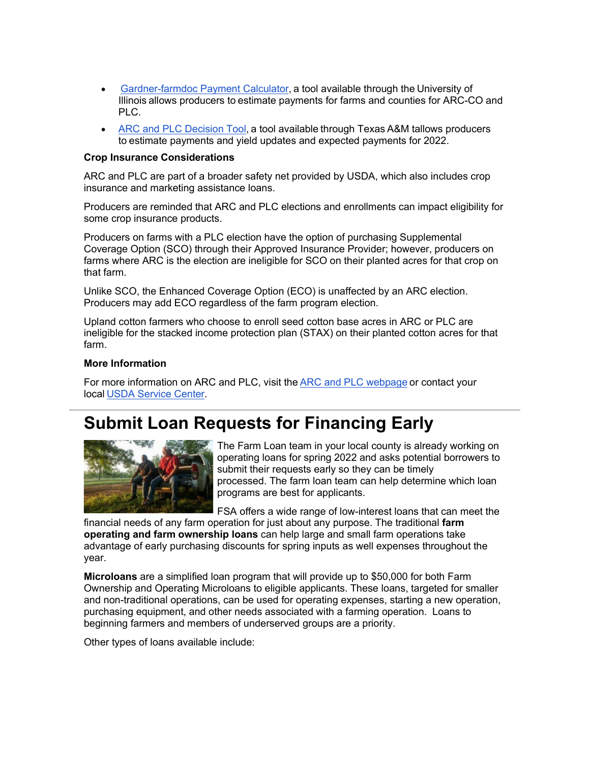- [Gardner-farmdoc Payment Calculator](https://gcc02.safelinks.protection.outlook.com/?url=https%3A%2F%2Ffarmdocdaily.illinois.edu%2F2019%2F08%2Fintroducing-the-gardner-farmdoc-payment-calculator.html%2522%2520%2Ft%2520%2522_blank%3Futm_medium%3Demail%26utm_source%3Dgovdelivery&data=04%7C01%7C%7C50412c8eedfa42dd08d508d9b440e65d%7Ced5b36e701ee4ebc867ee03cfa0d4697%7C0%7C0%7C637739013103852780%7CUnknown%7CTWFpbGZsb3d8eyJWIjoiMC4wLjAwMDAiLCJQIjoiV2luMzIiLCJBTiI6Ik1haWwiLCJXVCI6Mn0%3D%7C3000&sdata=hzMNyJuSZ1SE3buNdMz6cWUfE3olEzEjKUByqB9duD8%3D&reserved=0), a tool available through the University of Illinois allows producers to estimate payments for farms and counties for ARC-CO and PLC.
- [ARC and PLC Decision Tool](https://gcc02.safelinks.protection.outlook.com/?url=https%3A%2F%2Fwww.afpc.tamu.edu%2F%3Futm_medium%3Demail%26utm_source%3Dgovdelivery&data=04%7C01%7C%7C50412c8eedfa42dd08d508d9b440e65d%7Ced5b36e701ee4ebc867ee03cfa0d4697%7C0%7C0%7C637739013103852780%7CUnknown%7CTWFpbGZsb3d8eyJWIjoiMC4wLjAwMDAiLCJQIjoiV2luMzIiLCJBTiI6Ik1haWwiLCJXVCI6Mn0%3D%7C3000&sdata=chDLyMPzEcsFhR%2B1TQE3UOy72mpe%2F%2Fe702JC22xErBQ%3D&reserved=0), a tool available through Texas A&M tallows producers to estimate payments and yield updates and expected payments for 2022.

#### **Crop Insurance Considerations**

ARC and PLC are part of a broader safety net provided by USDA, which also includes crop insurance and marketing assistance loans.  

Producers are reminded that ARC and PLC elections and enrollments can impact eligibility for some crop insurance products.  

Producers on farms with a PLC election have the option of purchasing Supplemental Coverage Option (SCO) through their Approved Insurance Provider; however, producers on farms where ARC is the election are ineligible for SCO on their planted acres for that crop on that farm.  

Unlike SCO, the Enhanced Coverage Option (ECO) is unaffected by an ARC election.  Producers may add ECO regardless of the farm program election. 

Upland cotton farmers who choose to enroll seed cotton base acres in ARC or PLC are ineligible for the stacked income protection plan (STAX) on their planted cotton acres for that farm.   

#### **More Information**

For more information on ARC and PLC, visit the [ARC and PLC webpage](https://gcc02.safelinks.protection.outlook.com/?url=https%3A%2F%2Fwww.fsa.usda.gov%2Fprograms-and-services%2Farcplc_program%2Findex%3Futm_medium%3Demail%26utm_source%3Dgovdelivery&data=04%7C01%7C%7C50412c8eedfa42dd08d508d9b440e65d%7Ced5b36e701ee4ebc867ee03cfa0d4697%7C0%7C0%7C637739013103862739%7CUnknown%7CTWFpbGZsb3d8eyJWIjoiMC4wLjAwMDAiLCJQIjoiV2luMzIiLCJBTiI6Ik1haWwiLCJXVCI6Mn0%3D%7C3000&sdata=iQMrrbBpdiPqcle7fOPv8y5ym3I0pDY%2BR5Oz5DKd8Wg%3D&reserved=0) or contact your local [USDA Service Center](http://www.farmers.gov/service-locator?utm_medium=email&utm_source=govdelivery). 

## <span id="page-4-0"></span>**Submit Loan Requests for Financing Early**



The Farm Loan team in your local county is already working on operating loans for spring 2022 and asks potential borrowers to submit their requests early so they can be timely processed. The farm loan team can help determine which loan programs are best for applicants.

FSA offers a wide range of low-interest loans that can meet the

financial needs of any farm operation for just about any purpose. The traditional **farm operating and farm ownership loans** can help large and small farm operations take advantage of early purchasing discounts for spring inputs as well expenses throughout the year.

**Microloans** are a simplified loan program that will provide up to \$50,000 for both Farm Ownership and Operating Microloans to eligible applicants. These loans, targeted for smaller and non-traditional operations, can be used for operating expenses, starting a new operation, purchasing equipment, and other needs associated with a farming operation. Loans to beginning farmers and members of underserved groups are a priority.

Other types of loans available include: